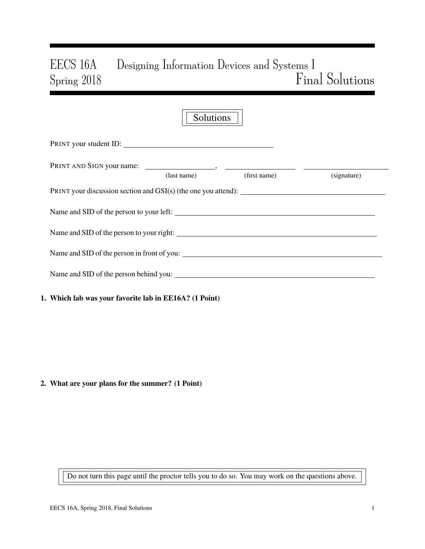# EECS 16A Designing Information Devices and Systems I Spring 2018 Final Solutions

| Solutions                                                                      |             |              |             |  |  |  |  |  |  |
|--------------------------------------------------------------------------------|-------------|--------------|-------------|--|--|--|--|--|--|
| PRINT your student ID:                                                         |             |              |             |  |  |  |  |  |  |
|                                                                                |             |              |             |  |  |  |  |  |  |
|                                                                                | (last name) | (first name) | (signature) |  |  |  |  |  |  |
| PRINT your discussion section and $GSI(s)$ (the one you attend): $\frac{1}{s}$ |             |              |             |  |  |  |  |  |  |
|                                                                                |             |              |             |  |  |  |  |  |  |
|                                                                                |             |              |             |  |  |  |  |  |  |
|                                                                                |             |              |             |  |  |  |  |  |  |
| Name and SID of the person behind you:                                         |             |              |             |  |  |  |  |  |  |
|                                                                                |             |              |             |  |  |  |  |  |  |

# 1. Which lab was your favorite lab in EE16A? (1 Point)

# 2. What are your plans for the summer? (1 Point)

Do not turn this page until the proctor tells you to do so. You may work on the questions above.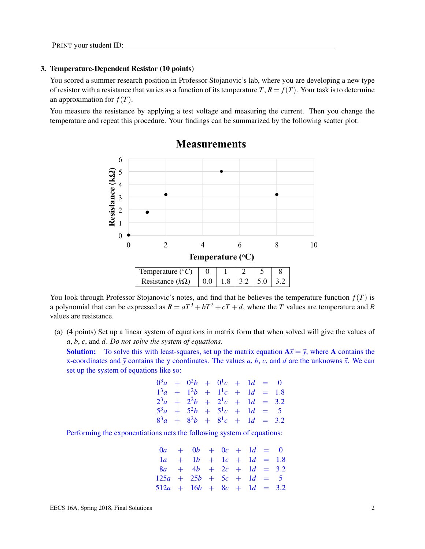## 3. Temperature-Dependent Resistor (10 points)

You scored a summer research position in Professor Stojanovic's lab, where you are developing a new type of resistor with a resistance that varies as a function of its temperature  $T$ ,  $R = f(T)$ . Your task is to determine an approximation for  $f(T)$ .

You measure the resistance by applying a test voltage and measuring the current. Then you change the temperature and repeat this procedure. Your findings can be summarized by the following scatter plot:



# **Measurements**

You look through Professor Stojanovic's notes, and find that he believes the temperature function  $f(T)$  is a polynomial that can be expressed as  $R = aT^3 + bT^2 + cT + d$ , where the *T* values are temperature and *R* values are resistance.

(a) (4 points) Set up a linear system of equations in matrix form that when solved will give the values of *a*, *b*, *c*, and *d*. *Do not solve the system of equations.*

**Solution:** To solve this with least-squares, set up the matrix equation  $A\vec{x} = \vec{y}$ , where A contains the x-coordinates and  $\vec{y}$  contains the y coordinates. The values *a*, *b*, *c*, and *d* are the unknowns  $\vec{x}$ . We can set up the system of equations like so:

$$
03a + 02b + 01c + 1d = 0
$$
  
\n
$$
13a + 12b + 11c + 1d = 1.8
$$
  
\n
$$
23a + 22b + 21c + 1d = 3.2
$$
  
\n
$$
53a + 52b + 51c + 1d = 5
$$
  
\n
$$
83a + 82b + 81c + 1d = 3.2
$$

Performing the exponentiations nets the following system of equations:

$$
0a + 0b + 0c + 1d = 0
$$
  
\n
$$
1a + 1b + 1c + 1d = 1.8
$$
  
\n
$$
8a + 4b + 2c + 1d = 3.2
$$
  
\n
$$
125a + 25b + 5c + 1d = 5
$$
  
\n
$$
512a + 16b + 8c + 1d = 3.2
$$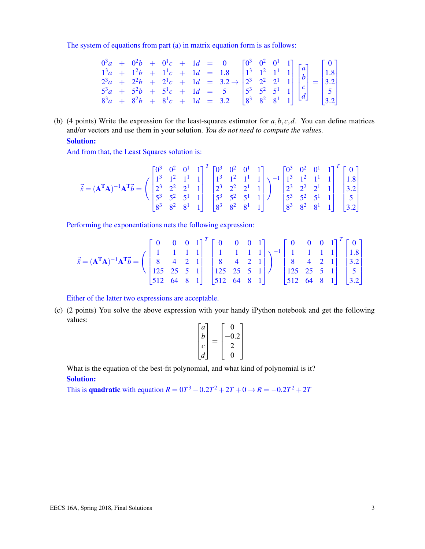The system of equations from part (a) in matrix equation form is as follows:

|  |  |  |  |  |  | $0^3a + 0^2b + 0^1c + 1d = 0$ $0^3$ $0^2$ $0^1$ 1]<br>$1^3a + 1^2b + 1^1c + 1d = 1.8$<br>$2^3a + 2^2b + 2^1c + 1d = 3.2 \rightarrow \begin{bmatrix} 0^3 & 0^2 & 0^1 & 1 \\ 1^3 & 1^2 & 1^1 & 1 \\ 2^3 & 2^2 & 2^1 & 1 \\ 2^3 & 2^2 & 2^1 & 1 \\ 5^3 & 5^2 & 5^1 & 1 \\ 6^3 & 8^3a + 8^2b + 8^$ |  |
|--|--|--|--|--|--|------------------------------------------------------------------------------------------------------------------------------------------------------------------------------------------------------------------------------------------------------------------------------------------------|--|

(b) (4 points) Write the expression for the least-squares estimator for  $a, b, c, d$ . You can define matrices and/or vectors and use them in your solution. *You do not need to compute the values.*

## Solution:

And from that, the Least Squares solution is:

$$
\vec{x} = (\mathbf{A}^T \mathbf{A})^{-1} \mathbf{A}^T \vec{b} = \begin{pmatrix} 0^3 & 0^2 & 0^1 & 1 \\ 1^3 & 1^2 & 1^1 & 1 \\ 2^3 & 2^2 & 2^1 & 1 \\ 5^3 & 5^2 & 5^1 & 1 \\ 8^3 & 8^2 & 8^1 & 1 \end{pmatrix}^T \begin{bmatrix} 0^3 & 0^2 & 0^1 & 1 \\ 1^3 & 1^2 & 1^1 & 1 \\ 2^3 & 2^2 & 2^1 & 1 \\ 5^3 & 5^2 & 5^1 & 1 \\ 8^3 & 8^2 & 8^1 & 1 \end{bmatrix}^{-1} \begin{bmatrix} 0^3 & 0^2 & 0^1 & 1 \\ 1^3 & 1^2 & 1^1 & 1 \\ 2^3 & 2^2 & 2^1 & 1 \\ 5^3 & 5^2 & 5^1 & 1 \\ 8^3 & 8^2 & 8^1 & 1 \end{bmatrix}^T \begin{bmatrix} 0 \\ 1.8 \\ 3.2 \\ 5 \\ 8^3 & 8^2 & 8^1 & 1 \end{bmatrix}
$$

Performing the exponentiations nets the following expression:

$$
\vec{x} = (\mathbf{A}^T \mathbf{A})^{-1} \mathbf{A}^T \vec{b} = \begin{pmatrix} 0 & 0 & 0 & 1 \\ 1 & 1 & 1 & 1 \\ 8 & 4 & 2 & 1 \\ 125 & 25 & 5 & 1 \\ 512 & 64 & 8 & 1 \end{pmatrix}^T \begin{bmatrix} 0 & 0 & 0 & 1 \\ 1 & 1 & 1 & 1 \\ 8 & 4 & 2 & 1 \\ 125 & 25 & 5 & 1 \\ 512 & 64 & 8 & 1 \end{bmatrix}^{-1} \begin{bmatrix} 0 & 0 & 0 & 1 \\ 1 & 1 & 1 & 1 \\ 8 & 4 & 2 & 1 \\ 125 & 25 & 5 & 1 \\ 512 & 64 & 8 & 1 \end{bmatrix}^T \begin{bmatrix} 0 \\ 1.8 \\ 3.2 \\ 1.25 \\ 512 & 64 & 8 & 1 \end{bmatrix}^T \begin{bmatrix} 0 \\ 1.8 \\ 3.2 \\ 5 \\ 512 & 64 & 8 & 1 \end{bmatrix}^T
$$

Either of the latter two expressions are acceptable.

(c) (2 points) You solve the above expression with your handy iPython notebook and get the following values:

| $\boldsymbol{a}$ |     |  |
|------------------|-----|--|
| b                | 0.2 |  |
| Ċ                |     |  |
| d                |     |  |

What is the equation of the best-fit polynomial, and what kind of polynomial is it? Solution:

This is **quadratic** with equation  $R = 0T^3 - 0.2T^2 + 2T + 0 \rightarrow R = -0.2T^2 + 2T$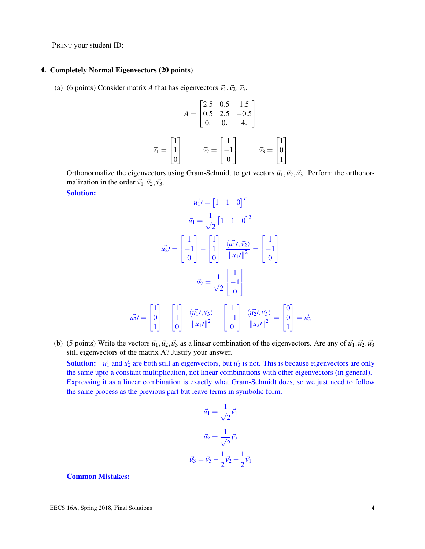#### 4. Completely Normal Eigenvectors (20 points)

(a) (6 points) Consider matrix *A* that has eigenvectors  $\vec{v_1}, \vec{v_2}, \vec{v_3}$ .

$$
A = \begin{bmatrix} 2.5 & 0.5 & 1.5 \\ 0.5 & 2.5 & -0.5 \\ 0 & 0 & 4. \end{bmatrix}
$$

$$
\vec{v_1} = \begin{bmatrix} 1 \\ 1 \\ 0 \end{bmatrix} \qquad \vec{v_2} = \begin{bmatrix} 1 \\ -1 \\ 0 \end{bmatrix} \qquad \vec{v_3} = \begin{bmatrix} 1 \\ 0 \\ 1 \end{bmatrix}
$$

Orthonormalize the eigenvectors using Gram-Schmidt to get vectors  $\vec{u_1}, \vec{u_2}, \vec{u_3}$ . Perform the orthonormalization in the order  $\vec{v_1}, \vec{v_2}, \vec{v_3}$ .

#### Solution:

$$
\vec{u_1'} = \begin{bmatrix} 1 & 1 & 0 \end{bmatrix}^T
$$

$$
\vec{u_1} = \frac{1}{\sqrt{2}} \begin{bmatrix} 1 & 1 & 0 \end{bmatrix}^T
$$

$$
\vec{u_2'} = \begin{bmatrix} 1 \\ -1 \\ 0 \end{bmatrix} - \begin{bmatrix} 1 \\ 1 \\ 0 \end{bmatrix} \cdot \frac{\langle \vec{u_1'}, \vec{v_2} \rangle}{\|u_1'\|^2} = \begin{bmatrix} 1 \\ -1 \\ 0 \end{bmatrix}
$$

$$
\vec{u_2} = \frac{1}{\sqrt{2}} \begin{bmatrix} 1 \\ -1 \\ 0 \end{bmatrix}
$$

$$
\vec{u_3'} = \begin{bmatrix} 1 \\ 0 \\ 1 \end{bmatrix} - \begin{bmatrix} 1 \\ 1 \\ 0 \end{bmatrix} \cdot \frac{\langle \vec{u_1'}, \vec{v_3} \rangle}{\|u_1'\|^2} - \begin{bmatrix} 1 \\ -1 \\ 0 \end{bmatrix} \cdot \frac{\langle \vec{u_2'}, \vec{v_3} \rangle}{\|u_2'\|^2} = \begin{bmatrix} 0 \\ 0 \\ 1 \end{bmatrix} = \vec{u_3}
$$

(b) (5 points) Write the vectors  $\vec{u_1}$ ,  $\vec{u_2}$ ,  $\vec{u_3}$  as a linear combination of the eigenvectors. Are any of  $\vec{u_1}$ ,  $\vec{u_2}$ ,  $\vec{u_3}$ still eigenvectors of the matrix A? Justify your answer. Solution:  $\vec{u_1}$  and  $\vec{u_2}$  are both still an eigenvectors, but  $\vec{u_3}$  is not. This is because eigenvectors are only the same upto a constant multiplication, not linear combinations with other eigenvectors (in general). Expressing it as a linear combination is exactly what Gram-Schmidt does, so we just need to follow the same process as the previous part but leave terms in symbolic form.

$$
\vec{u_1} = \frac{1}{\sqrt{2}} \vec{v_1}
$$

$$
\vec{u_2} = \frac{1}{\sqrt{2}} \vec{v_2}
$$

$$
\vec{u_3} = \vec{v_3} - \frac{1}{2} \vec{v_2} - \frac{1}{2} \vec{v_1}
$$

#### Common Mistakes: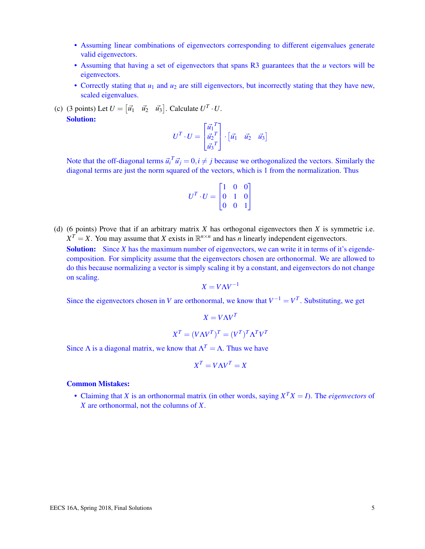- Assuming linear combinations of eigenvectors corresponding to different eigenvalues generate valid eigenvectors.
- Assuming that having a set of eigenvectors that spans R3 guarantees that the *u* vectors will be eigenvectors.
- Correctly stating that  $u_1$  and  $u_2$  are still eigenvectors, but incorrectly stating that they have new, scaled eigenvalues.
- (c) (3 points) Let  $U = \begin{bmatrix} \vec{u_1} & \vec{u_2} & \vec{u_3} \end{bmatrix}$ . Calculate  $U^T \cdot U$ . Solution: *T*

$$
U^T \cdot U = \begin{bmatrix} \vec{u_1}^T \\ \vec{u_2}^T \\ \vec{u_3}^T \end{bmatrix} \cdot \begin{bmatrix} \vec{u_1} & \vec{u_2} & \vec{u_3} \end{bmatrix}
$$

Note that the off-diagonal terms  $\vec{u_i}^T \vec{u_j} = 0, i \neq j$  because we orthogonalized the vectors. Similarly the diagonal terms are just the norm squared of the vectors, which is 1 from the normalization. Thus

$$
U^T \cdot U = \begin{bmatrix} 1 & 0 & 0 \\ 0 & 1 & 0 \\ 0 & 0 & 1 \end{bmatrix}
$$

(d) (6 points) Prove that if an arbitrary matrix *X* has orthogonal eigenvectors then *X* is symmetric i.e.  $X^T = X$ . You may assume that *X* exists in  $\mathbb{R}^{n \times n}$  and has *n* linearly independent eigenvectors.

**Solution:** Since *X* has the maximum number of eigenvectors, we can write it in terms of it's eigendecomposition. For simplicity assume that the eigenvectors chosen are orthonormal. We are allowed to do this because normalizing a vector is simply scaling it by a constant, and eigenvectors do not change on scaling.

$$
X = V\Lambda V^{-1}
$$

Since the eigenvectors chosen in *V* are orthonormal, we know that  $V^{-1} = V^{T}$ . Substituting, we get

$$
X = V\Lambda V^T
$$

$$
X^T = (V\Lambda V^T)^T = (V^T)^T \Lambda^T V^T
$$

Since  $\Lambda$  is a diagonal matrix, we know that  $\Lambda^T = \Lambda$ . Thus we have

$$
X^T = V\Lambda V^T = X
$$

#### Common Mistakes:

• Claiming that *X* is an orthonormal matrix (in other words, saying  $X^T X = I$ ). The *eigenvectors* of *X* are orthonormal, not the columns of *X*.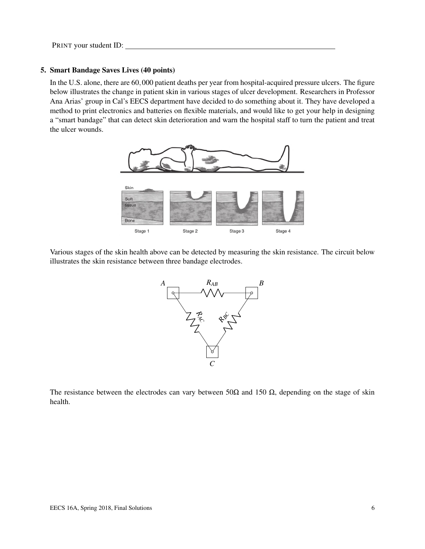# 5. Smart Bandage Saves Lives (40 points)

In the U.S. alone, there are 60,000 patient deaths per year from hospital-acquired pressure ulcers. The figure below illustrates the change in patient skin in various stages of ulcer development. Researchers in Professor Ana Arias' group in Cal's EECS department have decided to do something about it. They have developed a method to print electronics and batteries on flexible materials, and would like to get your help in designing a "smart bandage" that can detect skin deterioration and warn the hospital staff to turn the patient and treat the ulcer wounds.



Various stages of the skin health above can be detected by measuring the skin resistance. The circuit below illustrates the skin resistance between three bandage electrodes.



The resistance between the electrodes can vary between 50 $\Omega$  and 150  $\Omega$ , depending on the stage of skin health.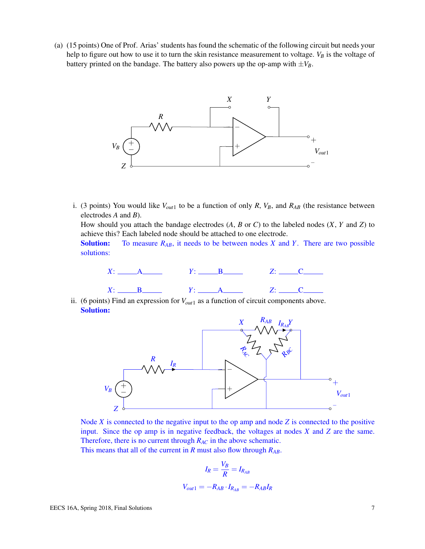(a) (15 points) One of Prof. Arias' students has found the schematic of the following circuit but needs your help to figure out how to use it to turn the skin resistance measurement to voltage. *V<sup>B</sup>* is the voltage of battery printed on the bandage. The battery also powers up the op-amp with  $\pm V_B$ .



i. (3 points) You would like  $V_{out1}$  to be a function of only *R*,  $V_B$ , and  $R_{AB}$  (the resistance between electrodes *A* and *B*).

How should you attach the bandage electrodes (*A*, *B* or *C*) to the labeled nodes (*X*, *Y* and *Z*) to achieve this? Each labeled node should be attached to one electrode.

Solution: To measure *RAB*, it needs to be between nodes *X* and *Y*. There are two possible solutions:



ii. (6 points) Find an expression for *Vout*<sup>1</sup> as a function of circuit components above. Solution:



Node *X* is connected to the negative input to the op amp and node *Z* is connected to the positive input. Since the op amp is in negative feedback, the voltages at nodes *X* and *Z* are the same. Therefore, there is no current through *RAC* in the above schematic.

This means that all of the current in *R* must also flow through *RAB*.

$$
I_R = \frac{V_B}{R} = I_{R_{AB}}
$$
  

$$
V_{out1} = -R_{AB} \cdot I_{R_{AB}} = -R_{AB}I_R
$$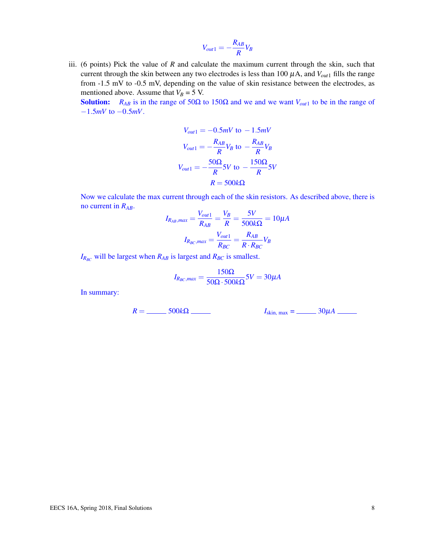$$
V_{out1} = -\frac{R_{AB}}{R}V_B
$$

iii. (6 points) Pick the value of *R* and calculate the maximum current through the skin, such that current through the skin between any two electrodes is less than 100  $\mu$ A, and  $V_{out1}$  fills the range from -1.5 mV to -0.5 mV, depending on the value of skin resistance between the electrodes, as mentioned above. Assume that  $V_B = 5$  V.

Solution: *R<sub>AB</sub>* is in the range of 50Ω to 150Ω and we and we want  $V_{out1}$  to be in the range of −1.5*mV* to −0.5*mV*.

$$
V_{out1} = -0.5mV \text{ to } -1.5mV
$$

$$
V_{out1} = -\frac{R_{AB}}{R}V_B \text{ to } -\frac{R_{AB}}{R}V_B
$$

$$
V_{out1} = -\frac{50\Omega}{R}5V \text{ to } -\frac{150\Omega}{R}5V
$$

$$
R = 500k\Omega
$$

Now we calculate the max current through each of the skin resistors. As described above, there is no current in *RAB*.

$$
I_{R_{AB},max} = \frac{V_{out1}}{R_{AB}} = \frac{V_B}{R} = \frac{5V}{500k\Omega} = 10\mu A
$$

$$
I_{R_{BC},max} = \frac{V_{out1}}{R_{BC}} = \frac{R_{AB}}{R \cdot R_{BC}} V_B
$$

 $I_{RBC}$  will be largest when  $R_{AB}$  is largest and  $R_{BC}$  is smallest.

$$
I_{R_{BC},max} = \frac{150\Omega}{50\Omega \cdot 500k\Omega} 5V = 30 \mu A
$$

In summary:

 $R =$  500*k*Ω *I*<sub>skin, max = 30µ*A* <u>I</u><sub>skin</sub>, max = 30µ*A* <u>I</u></sub>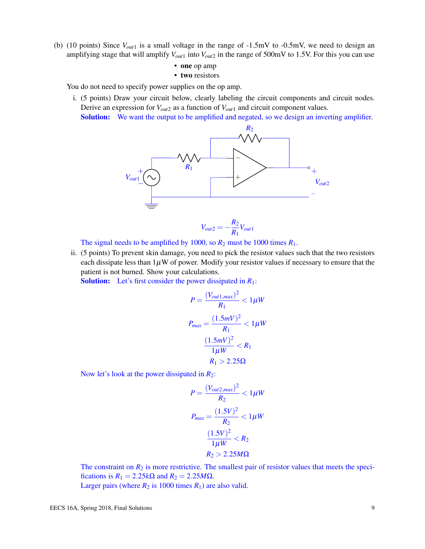(b) (10 points) Since *Vout*<sup>1</sup> is a small voltage in the range of -1.5mV to -0.5mV, we need to design an amplifying stage that will amplify  $V_{out1}$  into  $V_{out2}$  in the range of 500mV to 1.5V. For this you can use

• one op amp

• two resistors

You do not need to specify power supplies on the op amp.

i. (5 points) Draw your circuit below, clearly labeling the circuit components and circuit nodes. Derive an expression for *Vout*<sup>2</sup> as a function of *Vout*<sup>1</sup> and circuit component values.

Solution: We want the output to be amplified and negated, so we design an inverting amplifier.



The signal needs to be amplified by 1000, so  $R_2$  must be 1000 times  $R_1$ .

ii. (5 points) To prevent skin damage, you need to pick the resistor values such that the two resistors each dissipate less than  $1\mu$ W of power. Modify your resistor values if necessary to ensure that the patient is not burned. Show your calculations.

Solution: Let's first consider the power dissipated in *R*1:

$$
P = \frac{(V_{out1,max})^2}{R_1} < 1\mu W
$$
\n
$$
P_{max} = \frac{(1.5mV)^2}{R_1} < 1\mu W
$$
\n
$$
\frac{(1.5mV)^2}{1\mu W} < R_1
$$
\n
$$
R_1 > 2.25\Omega
$$

Now let's look at the power dissipated in *R*2:

$$
P = \frac{(V_{out2,max})^2}{R_2} < 1\mu W
$$
\n
$$
P_{max} = \frac{(1.5V)^2}{R_2} < 1\mu W
$$
\n
$$
\frac{(1.5V)^2}{1\mu W} < R_2
$$
\n
$$
R_2 > 2.25M\Omega
$$

The constraint on  $R_2$  is more restrictive. The smallest pair of resistor values that meets the specifications is  $R_1 = 2.25k\Omega$  and  $R_2 = 2.25M\Omega$ .

Larger pairs (where  $R_2$  is 1000 times  $R_1$ ) are also valid.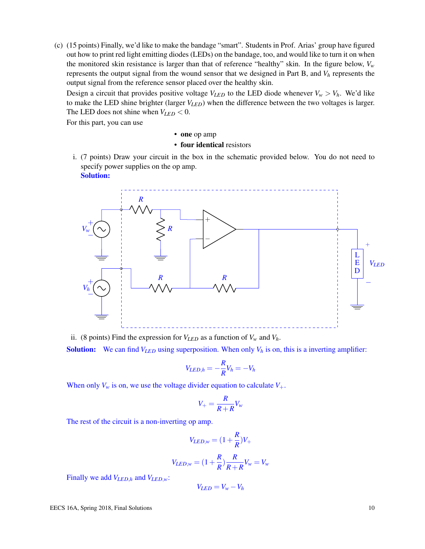(c) (15 points) Finally, we'd like to make the bandage "smart". Students in Prof. Arias' group have figured out how to print red light emitting diodes (LEDs) on the bandage, too, and would like to turn it on when the monitored skin resistance is larger than that of reference "healthy" skin. In the figure below, *V<sup>w</sup>* represents the output signal from the wound sensor that we designed in Part B, and *V<sup>h</sup>* represents the output signal from the reference sensor placed over the healthy skin.

Design a circuit that provides positive voltage  $V_{LED}$  to the LED diode whenever  $V_w > V_h$ . We'd like to make the LED shine brighter (larger *VLED*) when the difference between the two voltages is larger. The LED does not shine when  $V_{LED} < 0$ .

For this part, you can use

• one op amp

- four identical resistors
- i. (7 points) Draw your circuit in the box in the schematic provided below. You do not need to specify power supplies on the op amp. Solution:



ii. (8 points) Find the expression for  $V_{LED}$  as a function of  $V_w$  and  $V_h$ .

**Solution:** We can find  $V_{LED}$  using superposition. When only  $V_h$  is on, this is a inverting amplifier:

$$
V_{LED,h} = -\frac{R}{R}V_h = -V_h
$$

When only  $V_w$  is on, we use the voltage divider equation to calculate  $V_+$ .

$$
V_{+} = \frac{R}{R+R} V_{w}
$$

The rest of the circuit is a non-inverting op amp.

$$
V_{LED,w} = (1 + \frac{R}{R})V_+
$$

$$
V_{LED,w} = (1 + \frac{R}{R})\frac{R}{R+R}V_w = V_w
$$

Finally we add *VLED*,*<sup>h</sup>* and *VLED*,*w*:

$$
V_{LED} = V_w - V_h
$$

EECS 16A, Spring 2018, Final Solutions 10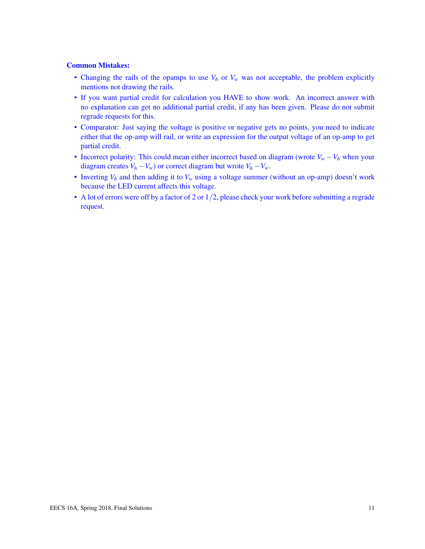# Common Mistakes:

- Changing the rails of the opamps to use  $V_h$  or  $V_w$  was not acceptable, the problem explicitly mentions not drawing the rails.
- If you want partial credit for calculation you HAVE to show work. An incorrect answer with no explanation can get no additional partial credit, if any has been given. Please do not submit regrade requests for this.
- Comparator: Just saying the voltage is positive or negative gets no points, you need to indicate either that the op-amp will rail, or write an expression for the output voltage of an op-amp to get partial credit.
- Incorrect polarity: This could mean either incorrect based on diagram (wrote  $V_w V_h$  when your diagram creates  $V_h - V_w$  or correct diagram but wrote  $V_h - V_w$ .
- Inverting  $V_h$  and then adding it to  $V_w$  using a voltage summer (without an op-amp) doesn't work because the LED current affects this voltage.
- A lot of errors were off by a factor of 2 or 1/2, please check your work before submitting a regrade request.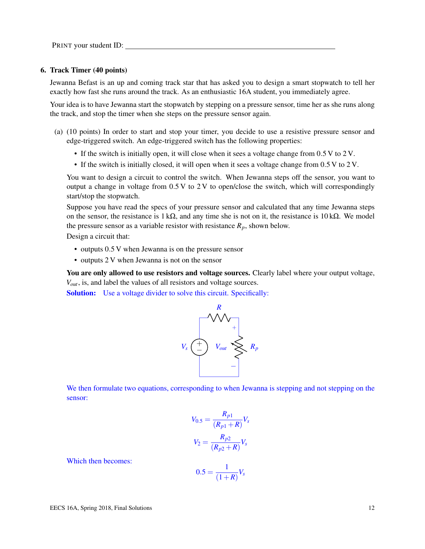PRINT your student ID:

#### 6. Track Timer (40 points)

Jewanna Befast is an up and coming track star that has asked you to design a smart stopwatch to tell her exactly how fast she runs around the track. As an enthusiastic 16A student, you immediately agree.

Your idea is to have Jewanna start the stopwatch by stepping on a pressure sensor, time her as she runs along the track, and stop the timer when she steps on the pressure sensor again.

- (a) (10 points) In order to start and stop your timer, you decide to use a resistive pressure sensor and edge-triggered switch. An edge-triggered switch has the following properties:
	- If the switch is initially open, it will close when it sees a voltage change from 0.5 V to 2 V.
	- If the switch is initially closed, it will open when it sees a voltage change from 0.5 V to 2 V.

You want to design a circuit to control the switch. When Jewanna steps off the sensor, you want to output a change in voltage from  $0.5 V$  to  $2 V$  to open/close the switch, which will correspondingly start/stop the stopwatch.

Suppose you have read the specs of your pressure sensor and calculated that any time Jewanna steps on the sensor, the resistance is 1 k $\Omega$ , and any time she is not on it, the resistance is 10 k $\Omega$ . We model the pressure sensor as a variable resistor with resistance  $R_p$ , shown below.

Design a circuit that:

- outputs 0.5 V when Jewanna is on the pressure sensor
- outputs 2 V when Jewanna is not on the sensor

You are only allowed to use resistors and voltage sources. Clearly label where your output voltage, *Vout*, is, and label the values of all resistors and voltage sources.

**Solution:** Use a voltage divider to solve this circuit. Specifically:



We then formulate two equations, corresponding to when Jewanna is stepping and not stepping on the sensor:

$$
V_{0.5} = \frac{R_{p1}}{(R_{p1} + R)} V_s
$$

$$
V_2 = \frac{R_{p2}}{(R_{p2} + R)} V_s
$$

Which then becomes:

$$
0.5 = \frac{1}{(1+R)}V_s
$$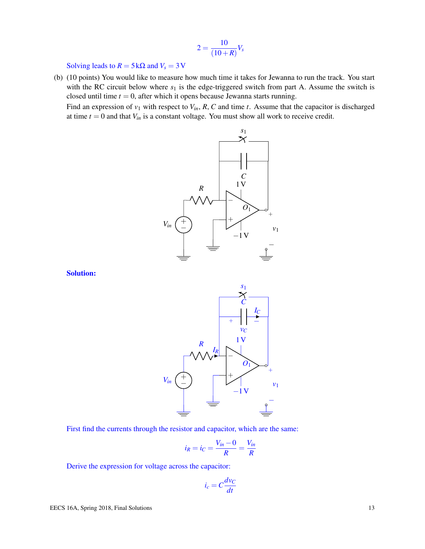$$
2=\frac{10}{(10+R)}V_s
$$

Solving leads to  $R = 5 \text{k}\Omega$  and  $V_s = 3 \text{V}$ 

(b) (10 points) You would like to measure how much time it takes for Jewanna to run the track. You start with the RC circuit below where  $s_1$  is the edge-triggered switch from part A. Assume the switch is closed until time  $t = 0$ , after which it opens because Jewanna starts running.

Find an expression of  $v_1$  with respect to  $V_{in}$ ,  $R$ ,  $C$  and time  $t$ . Assume that the capacitor is discharged at time  $t = 0$  and that  $V_{in}$  is a constant voltage. You must show all work to receive credit.



Solution:



First find the currents through the resistor and capacitor, which are the same:

$$
i_R = i_C = \frac{V_{in} - 0}{R} = \frac{V_{in}}{R}
$$

Derive the expression for voltage across the capacitor:

$$
i_c = C \frac{d v_C}{dt}
$$

EECS 16A, Spring 2018, Final Solutions 13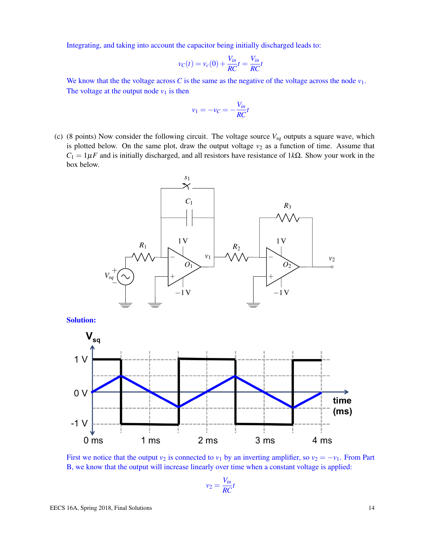Integrating, and taking into account the capacitor being initially discharged leads to:

$$
v_C(t) = v_c(0) + \frac{V_{in}}{RC}t = \frac{V_{in}}{RC}t
$$

We know that the the voltage across  $C$  is the same as the negative of the voltage across the node  $v_1$ . The voltage at the output node  $v_1$  is then

$$
v_1 = -v_C = -\frac{V_{in}}{RC}t
$$

(c) (8 points) Now consider the following circuit. The voltage source *Vsq* outputs a square wave, which is plotted below. On the same plot, draw the output voltage  $v_2$  as a function of time. Assume that  $C_1 = 1 \mu F$  and is initially discharged, and all resistors have resistance of 1*k*Ω. Show your work in the box below.



First we notice that the output  $v_2$  is connected to  $v_1$  by an inverting amplifier, so  $v_2 = -v_1$ . From Part B, we know that the output will increase linearly over time when a constant voltage is applied:

$$
v_2 = \frac{V_{in}}{RC}t
$$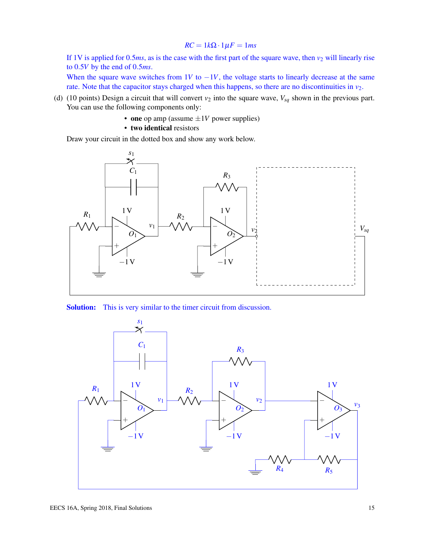#### $RC = 1k\Omega \cdot 1\mu F = 1ms$

If 1V is applied for 0.5 $ms$ , as is the case with the first part of the square wave, then  $v_2$  will linearly rise to 0.5*V* by the end of 0.5*ms*.

When the square wave switches from 1*V* to  $-1V$ , the voltage starts to linearly decrease at the same rate. Note that the capacitor stays charged when this happens, so there are no discontinuities in  $v_2$ .

- (d) (10 points) Design a circuit that will convert  $v_2$  into the square wave,  $V_{sq}$  shown in the previous part. You can use the following components only:
	- one op amp (assume  $\pm 1V$  power supplies)
	- two identical resistors

Draw your circuit in the dotted box and show any work below.





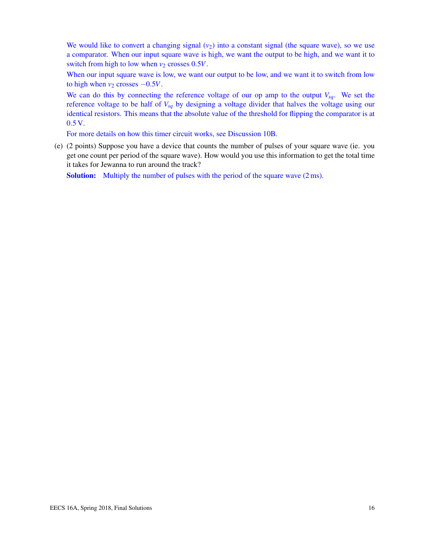We would like to convert a changing signal  $(v_2)$  into a constant signal (the square wave), so we use a comparator. When our input square wave is high, we want the output to be high, and we want it to switch from high to low when  $v_2$  crosses 0.5*V*.

When our input square wave is low, we want our output to be low, and we want it to switch from low to high when  $v_2$  crosses  $-0.5V$ .

We can do this by connecting the reference voltage of our op amp to the output *Vsq*. We set the reference voltage to be half of *Vsq* by designing a voltage divider that halves the voltage using our identical resistors. This means that the absolute value of the threshold for flipping the comparator is at 0.5 V.

For more details on how this timer circuit works, see Discussion 10B.

(e) (2 points) Suppose you have a device that counts the number of pulses of your square wave (ie. you get one count per period of the square wave). How would you use this information to get the total time it takes for Jewanna to run around the track?

Solution: Multiply the number of pulses with the period of the square wave  $(2 \text{ ms})$ .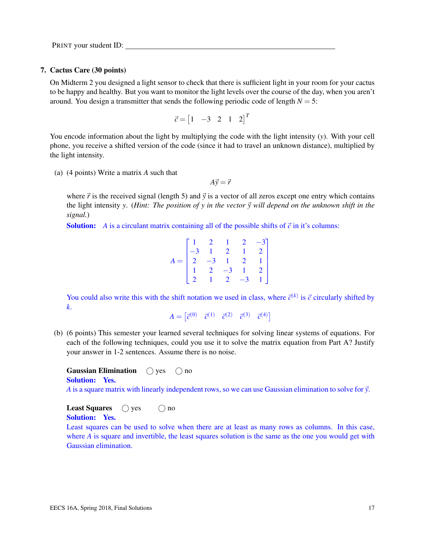PRINT your student ID:

### 7. Cactus Care (30 points)

On Midterm 2 you designed a light sensor to check that there is sufficient light in your room for your cactus to be happy and healthy. But you want to monitor the light levels over the course of the day, when you aren't around. You design a transmitter that sends the following periodic code of length  $N = 5$ :

$$
\vec{c} = \begin{bmatrix} 1 & -3 & 2 & 1 & 2 \end{bmatrix}^T
$$

You encode information about the light by multiplying the code with the light intensity (*y*). With your cell phone, you receive a shifted version of the code (since it had to travel an unknown distance), multiplied by the light intensity.

(a) (4 points) Write a matrix *A* such that

 $A\vec{v} = \vec{r}$ 

where  $\vec{r}$  is the received signal (length 5) and  $\vec{y}$  is a vector of all zeros except one entry which contains the light intensity *y*. (*Hint: The position of y in the vector*  $\vec{y}$  will depend on the unknown shift in the *signal.*)

**Solution:** *A* is a circulant matrix containing all of the possible shifts of  $\vec{c}$  in it's columns:

| $A = \begin{bmatrix} 1 & 2 & 1 & 2 & -3 \\ -3 & 1 & 2 & 1 & 2 \\ 2 & -3 & 1 & 2 & 1 \\ 1 & 2 & -3 & 1 & 2 \\ 2 & 1 & 2 & -3 & 1 \end{bmatrix}$ |  |  |  |
|------------------------------------------------------------------------------------------------------------------------------------------------|--|--|--|

You could also write this with the shift notation we used in class, where  $\vec{c}^{(k)}$  is  $\vec{c}$  circularly shifted by *k*.

 $A = \begin{bmatrix} \vec{c}^{(0)} & \vec{c}^{(1)} & \vec{c}^{(2)} & \vec{c}^{(3)} & \vec{c}^{(4)} \end{bmatrix}$ 

(b) (6 points) This semester your learned several techniques for solving linear systems of equations. For each of the following techniques, could you use it to solve the matrix equation from Part A? Justify your answer in 1-2 sentences. Assume there is no noise.

**Gaussian Elimination**  $\bigcirc$  yes  $\bigcirc$  no Solution: Yes.

*A* is a square matrix with linearly independent rows, so we can use Gaussian elimination to solve for  $\vec{y}$ .

**Least Squares**  $\bigcirc$  yes  $\bigcirc$  no Solution: Yes.

Least squares can be used to solve when there are at least as many rows as columns. In this case, where *A* is square and invertible, the least squares solution is the same as the one you would get with Gaussian elimination.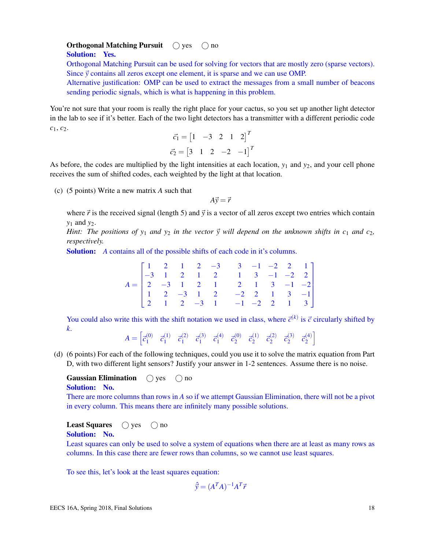#### **Orthogonal Matching Pursuit**  $\bigcap$  yes  $\bigcap$  no Solution: Yes.

Orthogonal Matching Pursuit can be used for solving for vectors that are mostly zero (sparse vectors). Since  $\vec{y}$  contains all zeros except one element, it is sparse and we can use OMP.

Alternative justification: OMP can be used to extract the messages from a small number of beacons sending periodic signals, which is what is happening in this problem.

You're not sure that your room is really the right place for your cactus, so you set up another light detector in the lab to see if it's better. Each of the two light detectors has a transmitter with a different periodic code *c*1, *c*2.

$$
\vec{c}_1 = \begin{bmatrix} 1 & -3 & 2 & 1 & 2 \end{bmatrix}^T
$$

$$
\vec{c}_2 = \begin{bmatrix} 3 & 1 & 2 & -2 & -1 \end{bmatrix}^T
$$

As before, the codes are multiplied by the light intensities at each location, *y*<sup>1</sup> and *y*2, and your cell phone receives the sum of shifted codes, each weighted by the light at that location.

(c) (5 points) Write a new matrix *A* such that

 $A\vec{v} = \vec{r}$ 

where  $\vec{r}$  is the received signal (length 5) and  $\vec{y}$  is a vector of all zeros except two entries which contain *y*<sup>1</sup> and *y*2.

*Hint: The positions of*  $y_1$  *and*  $y_2$  *in the vector*  $\vec{y}$  *will depend on the unknown shifts in c<sub>1</sub> <i>and c*<sub>2</sub>, *respectively.*

Solution: *A* contains all of the possible shifts of each code in it's columns.

| $A = \begin{bmatrix} 1 & 2 & 1 & 2 & -3 & 3 & -1 & -2 & 2 & 1 \\ -3 & 1 & 2 & 1 & 2 & 1 & 3 & -1 & -2 & 2 \\ 2 & -3 & 1 & 2 & 1 & 2 & 1 & 3 & -1 & -2 \\ 2 & 2 & 1 & 2 & 1 & 2 & 1 & 3 & -1 & -2 \end{bmatrix}$ |  |  |                                                                                                                      |  |  |  |  |
|-----------------------------------------------------------------------------------------------------------------------------------------------------------------------------------------------------------------|--|--|----------------------------------------------------------------------------------------------------------------------|--|--|--|--|
|                                                                                                                                                                                                                 |  |  |                                                                                                                      |  |  |  |  |
|                                                                                                                                                                                                                 |  |  |                                                                                                                      |  |  |  |  |
|                                                                                                                                                                                                                 |  |  | $\begin{bmatrix} 1 & 2 & -3 & 1 & 2 & -2 & 2 & 1 & 3 & -1 \\ 2 & 1 & 2 & -3 & 1 & -1 & -2 & 2 & 1 & 3 \end{bmatrix}$ |  |  |  |  |

You could also write this with the shift notation we used in class, where  $\vec{c}^{(k)}$  is  $\vec{c}$  circularly shifted by *k*.

 $A = \left[\vec{c}^{(0)}_1\right]$  $\vec{c}_1^{(0)}$   $\vec{c}_1^{(1)}$  $\vec{c}_1^{(1)}$   $\vec{c}_1^{(2)}$  $\vec{c}_1^{(2)}$   $\vec{c}_1^{(3)}$  $\vec{c}_1^{(3)}$   $\vec{c}_1^{(4)}$  $\vec{c}_1^{(4)}$   $\vec{c}_2^{(0)}$  $\vec{c}_2^{(0)}$   $\vec{c}_2^{(1)}$  $\vec{c}_2^{(1)}$   $\vec{c}_2^{(2)}$  $\vec{c}_2^{(2)}$   $\vec{c}_2^{(3)}$  $\vec{c}_2^{(3)}$   $\vec{c}_2^{(4)}$ 2 i

(d) (6 points) For each of the following techniques, could you use it to solve the matrix equation from Part D, with two different light sensors? Justify your answer in 1-2 sentences. Assume there is no noise.

**Gaussian Elimination**  $\bigcap$  yes  $\bigcap$  no

```
Solution: No.
```
There are more columns than rows in *A* so if we attempt Gaussian Elimination, there will not be a pivot in every column. This means there are infinitely many possible solutions.

**Least Squares**  $\bigcirc$  yes  $\bigcirc$  no

Solution: No.

Least squares can only be used to solve a system of equations when there are at least as many rows as columns. In this case there are fewer rows than columns, so we cannot use least squares.

To see this, let's look at the least squares equation:

$$
\hat{\vec{y}} = (A^T A)^{-1} A^T \vec{r}
$$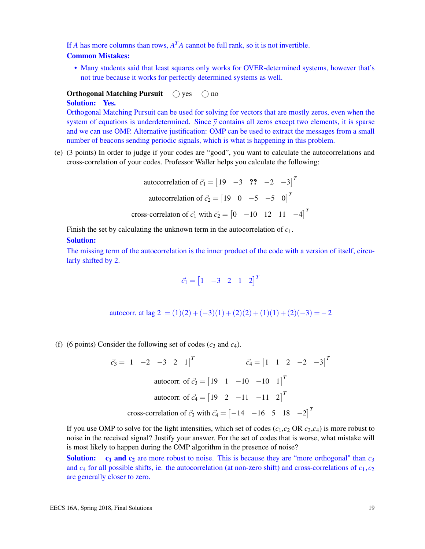If *A* has more columns than rows,  $A<sup>T</sup>A$  cannot be full rank, so it is not invertible.

#### Common Mistakes:

• Many students said that least squares only works for OVER-determined systems, however that's not true because it works for perfectly determined systems as well.

# **Orthogonal Matching Pursuit**  $\bigcirc$  yes  $\bigcirc$  no

# Solution: Yes.

Orthogonal Matching Pursuit can be used for solving for vectors that are mostly zeros, even when the system of equations is underdetermined. Since  $\vec{y}$  contains all zeros except two elements, it is sparse and we can use OMP. Alternative justification: OMP can be used to extract the messages from a small number of beacons sending periodic signals, which is what is happening in this problem.

(e) (3 points) In order to judge if your codes are "good", you want to calculate the autocorrelations and cross-correlation of your codes. Professor Waller helps you calculate the following:

autocorrelation of 
$$
\vec{c}_1 = \begin{bmatrix} 19 & -3 & \textbf{??} & -2 & -3 \end{bmatrix}^T
$$
  
autocorrelation of  $\vec{c}_2 = \begin{bmatrix} 19 & 0 & -5 & -5 & 0 \end{bmatrix}^T$   
cross-correlation of  $\vec{c}_1$  with  $\vec{c}_2 = \begin{bmatrix} 0 & -10 & 12 & 11 & -4 \end{bmatrix}^T$ 

Finish the set by calculating the unknown term in the autocorrelation of *c*1.

# Solution:

The missing term of the autocorrelation is the inner product of the code with a version of itself, circularly shifted by 2.

$$
\vec{c}_1 = \begin{bmatrix} 1 & -3 & 2 & 1 & 2 \end{bmatrix}^T
$$

autocorr. at lag 2 =  $(1)(2) + (-3)(1) + (2)(2) + (1)(1) + (2)(-3) = -2$ 

(f) (6 points) Consider the following set of codes  $(c_3 \text{ and } c_4)$ .

$$
\vec{c}_3 = \begin{bmatrix} 1 & -2 & -3 & 2 & 1 \end{bmatrix}^T
$$
\n
$$
\vec{c}_4 = \begin{bmatrix} 1 & 1 & 2 & -2 & -3 \end{bmatrix}^T
$$
\n
$$
\text{autocorr. of } \vec{c}_3 = \begin{bmatrix} 19 & 1 & -10 & -10 & 1 \end{bmatrix}^T
$$
\n
$$
\text{autocorr. of } \vec{c}_4 = \begin{bmatrix} 19 & 2 & -11 & -11 & 2 \end{bmatrix}^T
$$
\n
$$
\text{cross-correlation of } \vec{c}_3 \text{ with } \vec{c}_4 = \begin{bmatrix} -14 & -16 & 5 & 18 & -2 \end{bmatrix}^T
$$

If you use OMP to solve for the light intensities, which set of codes  $(c_1, c_2 \text{ OR } c_3, c_4)$  is more robust to noise in the received signal? Justify your answer. For the set of codes that is worse, what mistake will is most likely to happen during the OMP algorithm in the presence of noise?

**Solution:** c<sub>1</sub> and c<sub>2</sub> are more robust to noise. This is because they are "more orthogonal" than  $c_3$ and  $c_4$  for all possible shifts, ie. the autocorrelation (at non-zero shift) and cross-correlations of  $c_1$ ,  $c_2$ are generally closer to zero.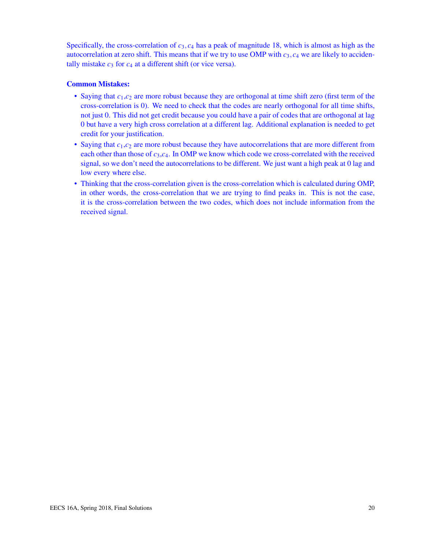Specifically, the cross-correlation of  $c_3$ ,  $c_4$  has a peak of magnitude 18, which is almost as high as the autocorrelation at zero shift. This means that if we try to use OMP with  $c_3$ ,  $c_4$  we are likely to accidentally mistake  $c_3$  for  $c_4$  at a different shift (or vice versa).

## Common Mistakes:

- Saying that  $c_1$ , $c_2$  are more robust because they are orthogonal at time shift zero (first term of the cross-correlation is 0). We need to check that the codes are nearly orthogonal for all time shifts, not just 0. This did not get credit because you could have a pair of codes that are orthogonal at lag 0 but have a very high cross correlation at a different lag. Additional explanation is needed to get credit for your justification.
- Saying that  $c_1$ , $c_2$  are more robust because they have autocorrelations that are more different from each other than those of *c*3,*c*4. In OMP we know which code we cross-correlated with the received signal, so we don't need the autocorrelations to be different. We just want a high peak at 0 lag and low every where else.
- Thinking that the cross-correlation given is the cross-correlation which is calculated during OMP, in other words, the cross-correlation that we are trying to find peaks in. This is not the case, it is the cross-correlation between the two codes, which does not include information from the received signal.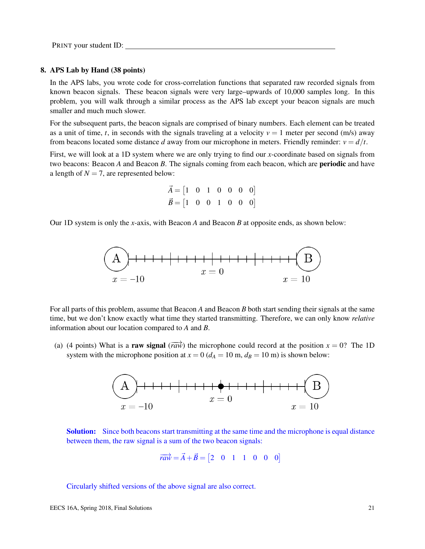PRINT your student ID:

#### 8. APS Lab by Hand (38 points)

In the APS labs, you wrote code for cross-correlation functions that separated raw recorded signals from known beacon signals. These beacon signals were very large–upwards of 10,000 samples long. In this problem, you will walk through a similar process as the APS lab except your beacon signals are much smaller and much much slower.

For the subsequent parts, the beacon signals are comprised of binary numbers. Each element can be treated as a unit of time, *t*, in seconds with the signals traveling at a velocity  $v = 1$  meter per second (m/s) away from beacons located some distance *d* away from our microphone in meters. Friendly reminder:  $v = d/t$ .

First, we will look at a 1D system where we are only trying to find our *x*-coordinate based on signals from two beacons: Beacon *A* and Beacon *B*. The signals coming from each beacon, which are periodic and have a length of  $N = 7$ , are represented below:

$$
\vec{A} = \begin{bmatrix} 1 & 0 & 1 & 0 & 0 & 0 & 0 \end{bmatrix}
$$
  

$$
\vec{B} = \begin{bmatrix} 1 & 0 & 0 & 1 & 0 & 0 & 0 \end{bmatrix}
$$

Our 1D system is only the *x*-axis, with Beacon *A* and Beacon *B* at opposite ends, as shown below:



For all parts of this problem, assume that Beacon *A* and Beacon *B* both start sending their signals at the same time, but we don't know exactly what time they started transmitting. Therefore, we can only know *relative* information about our location compared to *A* and *B*.

(a) (4 points) What is a **raw signal** ( $\overrightarrow{raw}$ ) the microphone could record at the position  $x = 0$ ? The 1D system with the microphone position at  $x = 0$  ( $d_A = 10$  m,  $d_B = 10$  m) is shown below:



**Solution:** Since both beacons start transmitting at the same time and the microphone is equal distance between them, the raw signal is a sum of the two beacon signals:

$$
\overrightarrow{raw} = \overrightarrow{A} + \overrightarrow{B} = \begin{bmatrix} 2 & 0 & 1 & 1 & 0 & 0 & 0 \end{bmatrix}
$$

Circularly shifted versions of the above signal are also correct.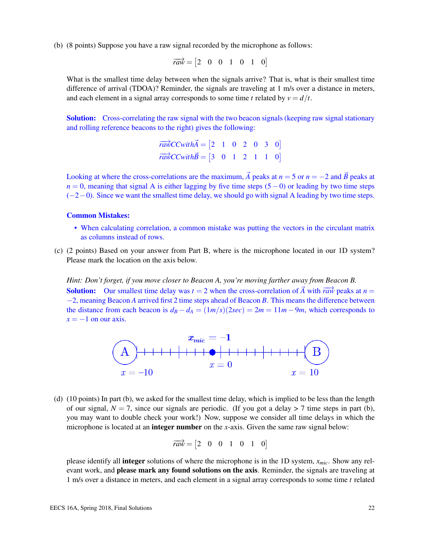(b) (8 points) Suppose you have a raw signal recorded by the microphone as follows:

$$
\overrightarrow{raw} = \begin{bmatrix} 2 & 0 & 0 & 1 & 0 & 1 & 0 \end{bmatrix}
$$

What is the smallest time delay between when the signals arrive? That is, what is their smallest time difference of arrival (TDOA)? Reminder, the signals are traveling at 1 m/s over a distance in meters, and each element in a signal array corresponds to some time *t* related by  $v = d/t$ .

**Solution:** Cross-correlating the raw signal with the two beacon signals (keeping raw signal stationary and rolling reference beacons to the right) gives the following:

$$
\overrightarrow{rawCCwithA} = \begin{bmatrix} 2 & 1 & 0 & 2 & 0 & 3 & 0 \end{bmatrix}
$$

$$
\overrightarrow{rawCCwithB} = \begin{bmatrix} 3 & 0 & 1 & 2 & 1 & 1 & 0 \end{bmatrix}
$$

Looking at where the cross-correlations are the maximum,  $\vec{A}$  peaks at  $n = 5$  or  $n = -2$  and  $\vec{B}$  peaks at  $n = 0$ , meaning that signal A is either lagging by five time steps (5 – 0) or leading by two time steps  $(-2-0)$ . Since we want the smallest time delay, we should go with signal A leading by two time steps.

#### Common Mistakes:

- When calculating correlation, a common mistake was putting the vectors in the circulant matrix as columns instead of rows.
- (c) (2 points) Based on your answer from Part B, where is the microphone located in our 1D system? Please mark the location on the axis below.

*Hint: Don't forget, if you move closer to Beacon A, you're moving farther away from Beacon B.* **Solution:** Our smallest time delay was  $t = 2$  when the cross-correlation of  $\vec{A}$  with  $\vec{r}$  peaks at  $n =$ −2, meaning Beacon *A* arrived first 2 time steps ahead of Beacon *B*. This means the difference between the distance from each beacon is  $d_B - d_A = (1m/s)(2sec) = 2m = 11m - 9m$ , which corresponds to  $x = -1$  on our axis.



(d) (10 points) In part (b), we asked for the smallest time delay, which is implied to be less than the length of our signal,  $N = 7$ , since our signals are periodic. (If you got a delay  $> 7$  time steps in part (b), you may want to double check your work!) Now, suppose we consider all time delays in which the microphone is located at an integer number on the *x*-axis. Given the same raw signal below:

$$
\overrightarrow{raw} = \begin{bmatrix} 2 & 0 & 0 & 1 & 0 & 1 & 0 \end{bmatrix}
$$

please identify all integer solutions of where the microphone is in the 1D system, *xmic*. Show any relevant work, and **please mark any found solutions on the axis**. Reminder, the signals are traveling at 1 m/s over a distance in meters, and each element in a signal array corresponds to some time *t* related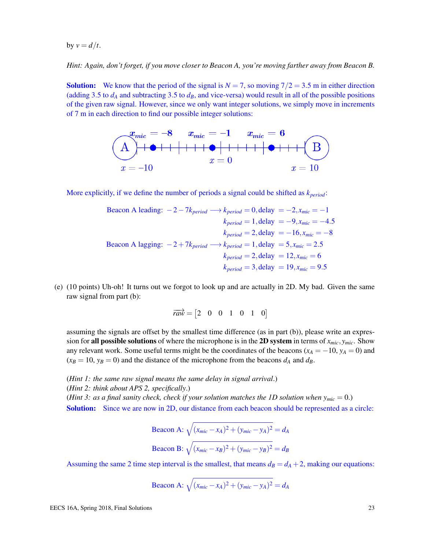by  $v = d/t$ .

*Hint: Again, don't forget, if you move closer to Beacon A, you're moving farther away from Beacon B.*

**Solution:** We know that the period of the signal is  $N = 7$ , so moving  $7/2 = 3.5$  m in either direction (adding 3.5 to  $d_A$  and subtracting 3.5 to  $d_B$ , and vice-versa) would result in all of the possible positions of the given raw signal. However, since we only want integer solutions, we simply move in increments of 7 m in each direction to find our possible integer solutions:



More explicitly, if we define the number of periods a signal could be shifted as *kperiod*:

Because the following equations:

\n
$$
2 - 7k_{period} \longrightarrow k_{period} = 0, \text{delay } = -2, x_{mic} = -1
$$
\n
$$
k_{period} = 1, \text{delay } = -9, x_{mic} = -4.5
$$
\n
$$
k_{period} = 2, \text{delay } = -16, x_{mic} = -8
$$
\nBecause the following equations:

\n
$$
k_{period} = 2, \text{delay } = 5, x_{mic} = 2.5
$$
\n
$$
k_{period} = 2, \text{delay } = 12, x_{mic} = 6
$$
\n
$$
k_{period} = 3, \text{delay } = 19, x_{mic} = 9.5
$$
\nThus, the following equations:

\n
$$
k_{period} = 3, \text{delay } = 19, x_{mic} = 9.5
$$

(e) (10 points) Uh-oh! It turns out we forgot to look up and are actually in 2D. My bad. Given the same raw signal from part (b):

$$
\overrightarrow{raw} = \begin{bmatrix} 2 & 0 & 0 & 1 & 0 & 1 & 0 \end{bmatrix}
$$

assuming the signals are offset by the smallest time difference (as in part (b)), please write an expression for all possible solutions of where the microphone is in the 2D system in terms of  $x_{mic}$ ,  $y_{mic}$ . Show any relevant work. Some useful terms might be the coordinates of the beacons ( $x_A = -10$ ,  $y_A = 0$ ) and  $(x_B = 10, y_B = 0)$  and the distance of the microphone from the beacons  $d_A$  and  $d_B$ .

(*Hint 1: the same raw signal means the same delay in signal arrival*.) (*Hint 2: think about APS 2, specifically*.) (*Hint 3: as a final sanity check, check if your solution matches the 1D solution when*  $y_{mic} = 0$ *.*) Solution: Since we are now in 2D, our distance from each beacon should be represented as a circle:

$$
\text{Beacon A: } \sqrt{(x_{mic} - x_A)^2 + (y_{mic} - y_A)^2} = d_A
$$
\n
$$
\text{Beacon B: } \sqrt{(x_{mic} - x_B)^2 + (y_{mic} - y_B)^2} = d_B
$$

Assuming the same 2 time step interval is the smallest, that means  $d_B = d_A + 2$ , making our equations:

$$
Beacon A: \sqrt{(x_{mic} - x_A)^2 + (y_{mic} - y_A)^2} = d_A
$$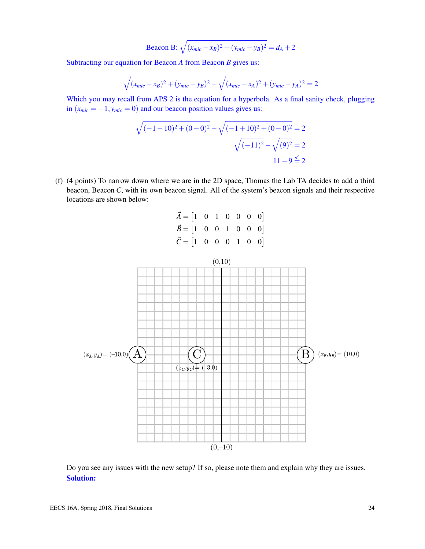$$
Beacon B: \sqrt{(x_{mic} - x_B)^2 + (y_{mic} - y_B)^2} = d_A + 2
$$

Subtracting our equation for Beacon *A* from Beacon *B* gives us:

$$
\sqrt{(x_{mic} - x_B)^2 + (y_{mic} - y_B)^2} - \sqrt{(x_{mic} - x_A)^2 + (y_{mic} - y_A)^2} = 2
$$

Which you may recall from APS 2 is the equation for a hyperbola. As a final sanity check, plugging in  $(x_{mic} = -1, y_{mic} = 0)$  and our beacon position values gives us:

$$
\sqrt{(-1-10)^2 + (0-0)^2} - \sqrt{(-1+10)^2 + (0-0)^2} = 2
$$

$$
\sqrt{(-11)^2} - \sqrt{(9)^2} = 2
$$

$$
11 - 9 \le 2
$$

(f) (4 points) To narrow down where we are in the 2D space, Thomas the Lab TA decides to add a third beacon, Beacon *C*, with its own beacon signal. All of the system's beacon signals and their respective locations are shown below:

| $\vec{A} = \begin{bmatrix} 1 & 0 & 1 & 0 & 0 & 0 & 0 \end{bmatrix}$ |  |  |  |
|---------------------------------------------------------------------|--|--|--|
| $\vec{B} = \begin{bmatrix} 1 & 0 & 0 & 1 & 0 & 0 & 0 \end{bmatrix}$ |  |  |  |
| $\vec{C} = \begin{bmatrix} 1 & 0 & 0 & 0 & 1 & 0 & 0 \end{bmatrix}$ |  |  |  |



Do you see any issues with the new setup? If so, please note them and explain why they are issues. Solution: